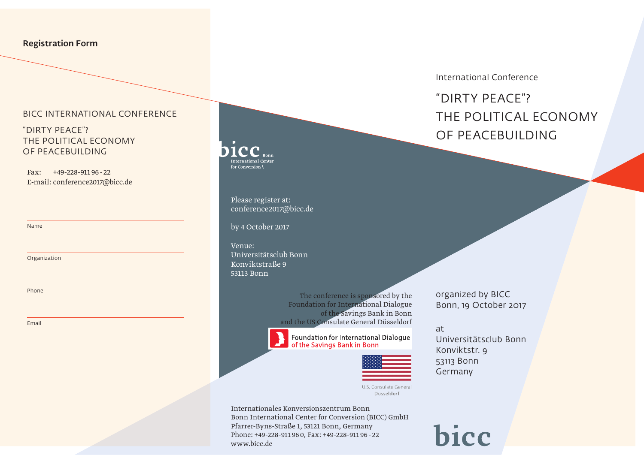#### Registration Form

#### BICC INTERNATIONAL CONFERENCE

### "DIRTY PEACE"? THE POLITICAL ECONOMY OF PEACEBUILDING

Fax: +49-228-911 96 - 22 E-mail: conference2017@bicc.de

Name

Organization

Phone

Email

## International Center for Conversion \

Please register at: conference2017@bicc.de

by 4 October 2017

Venue: Universitätsclub Bonn Konviktstraße 9 53113 Bonn

> The conference is sponsored by the Foundation for International Dialogue of the Savings Bank in Bonn and the US Consulate General Düsseldorf



www.bicc.de

Internationales Konversionszentrum Bonn

Pfarrer-Byns-Straße 1, 53121 Bonn, Germany Phone: +49-228-911 96 0, Fax: +49-228-911 96 - 22

Bonn International Center for Conversion (BICC) GmbH

Foundation for International Dialogue of the Savings Bank in Bonn



U.S. Consulate General Düsseldorf

at Universitätsclub Bonn Konviktstr. 9 53113 Bonn Germany

organized by BICC Bonn, 19 October 2017

bicc

#### International Conference

# "DIRTY PEACE"? THE POLITICAL ECONOMY OF PEACEBUILDING